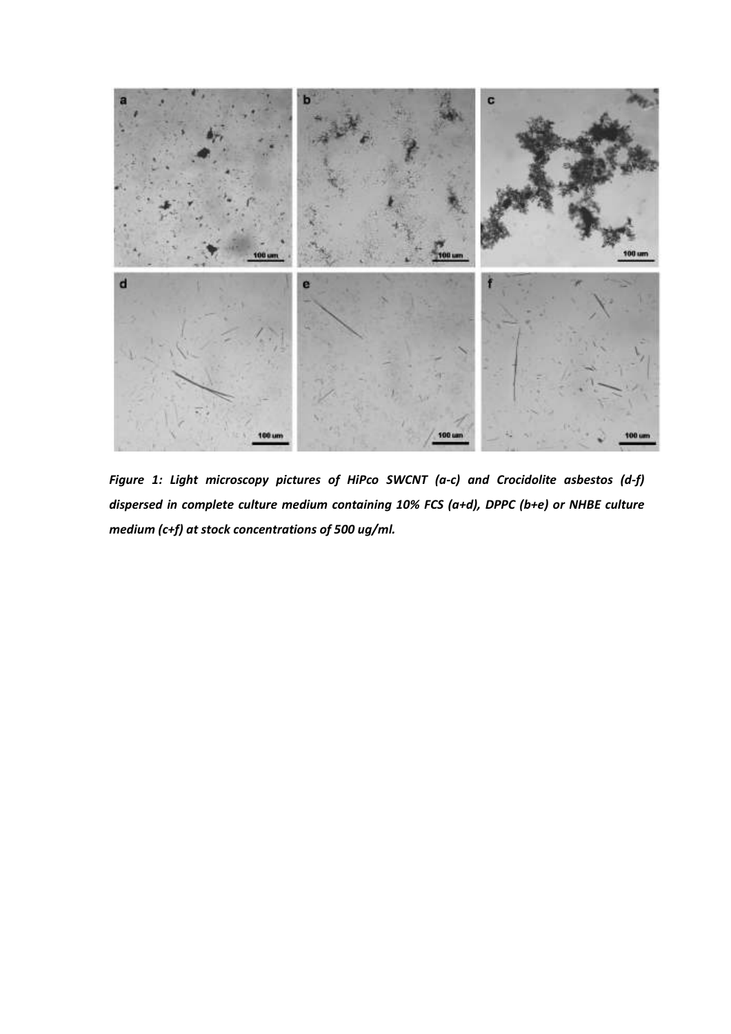

Figure 1: Light microscopy pictures of HiPco SWCNT (a-c) and Crocidolite asbestos (d-f) dispersed in complete culture medium containing 10% FCS (a+d), DPPC (b+e) or NHBE culture medium (c+f) at stock concentrations of 500 ug/ml.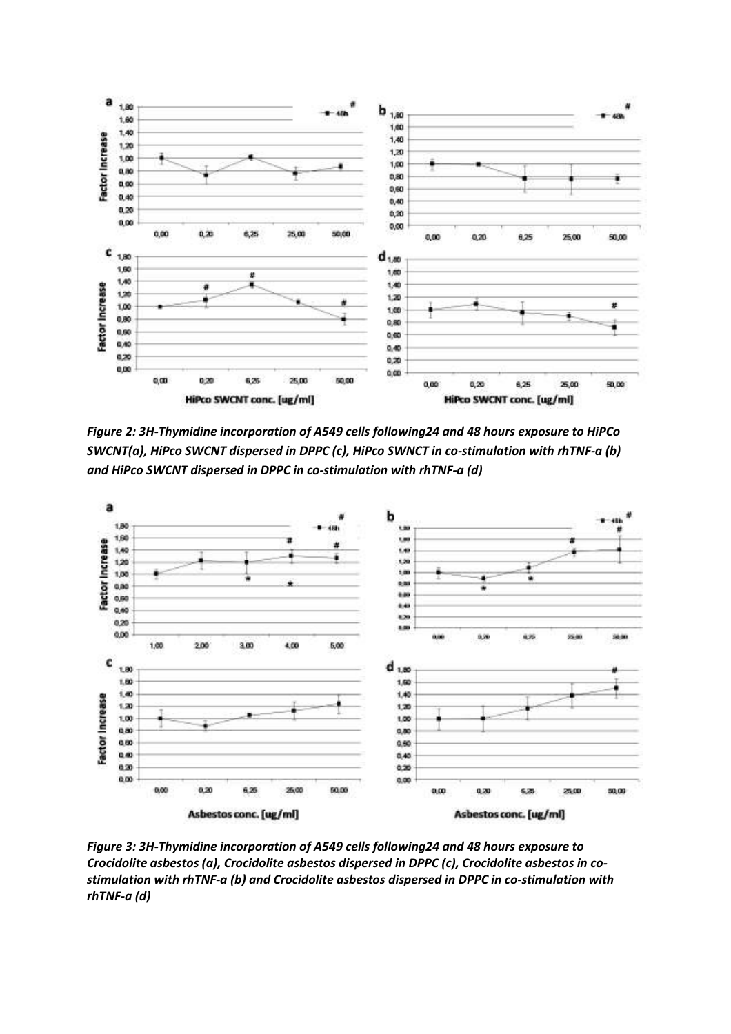

Figure 2: 3H-Thymidine incorporation of A549 cells following24 and 48 hours exposure to HiPCo SWCNT(a), HiPco SWCNT dispersed in DPPC (c), HiPco SWNCT in co-stimulation with rhTNF-a (b) and HiPco SWCNT dispersed in DPPC in co-stimulation with rhTNF-a (d)



Figure 3: 3H-Thymidine incorporation of A549 cells following24 and 48 hours exposure to Crocidolite asbestos (a), Crocidolite asbestos dispersed in DPPC (c), Crocidolite asbestos in costimulation with rhTNF-a (b) and Crocidolite asbestos dispersed in DPPC in co-stimulation with rhTNF-a (d)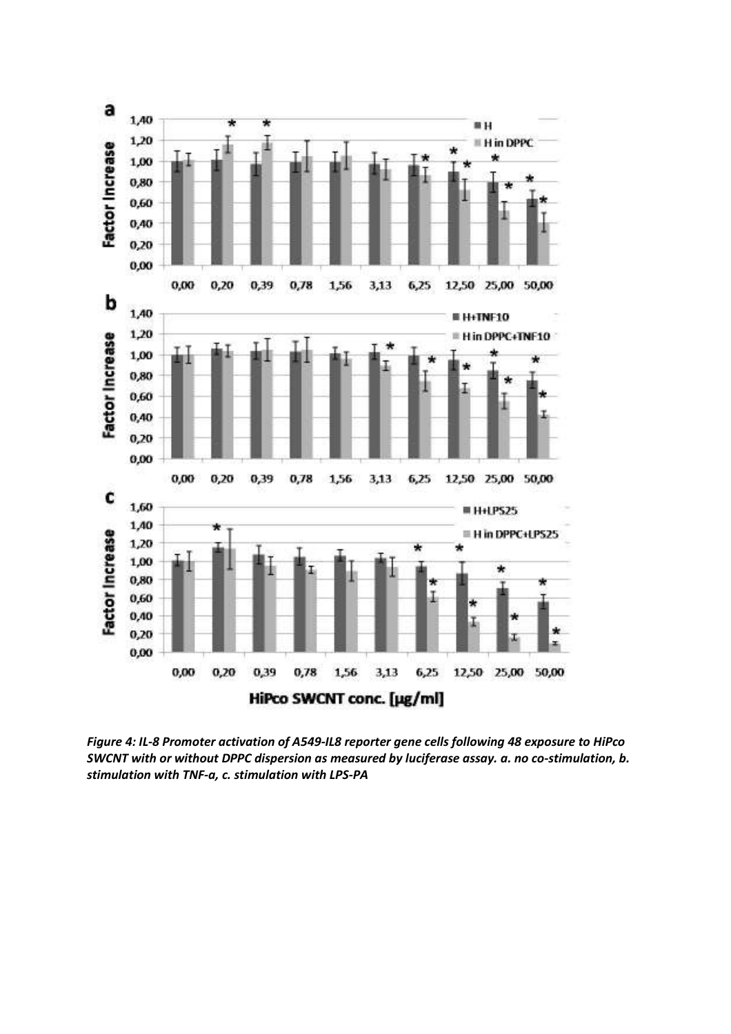

Figure 4: IL-8 Promoter activation of A549-IL8 reporter gene cells following 48 exposure to HiPco SWCNT with or without DPPC dispersion as measured by luciferase assay. a. no co-stimulation, b. stimulation with TNF-a, c. stimulation with LPS-PA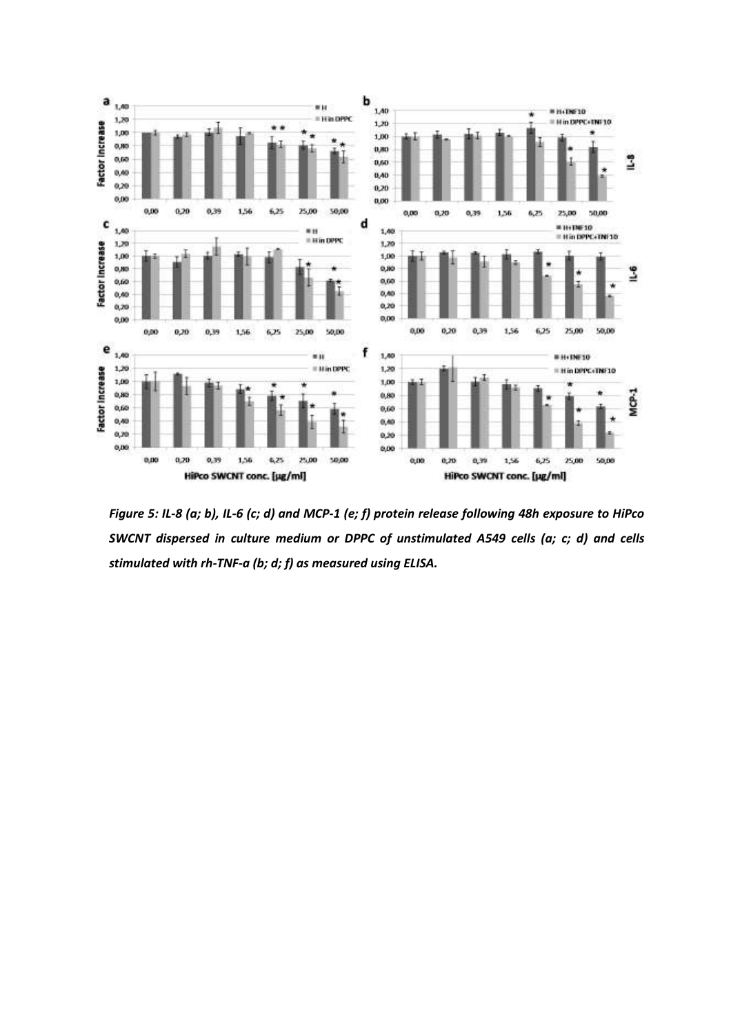

Figure 5: IL-8 (a; b), IL-6 (c; d) and MCP-1 (e; f) protein release following 48h exposure to HiPco SWCNT dispersed in culture medium or DPPC of unstimulated A549 cells (a; c; d) and cells stimulated with rh-TNF-a (b; d; f) as measured using ELISA.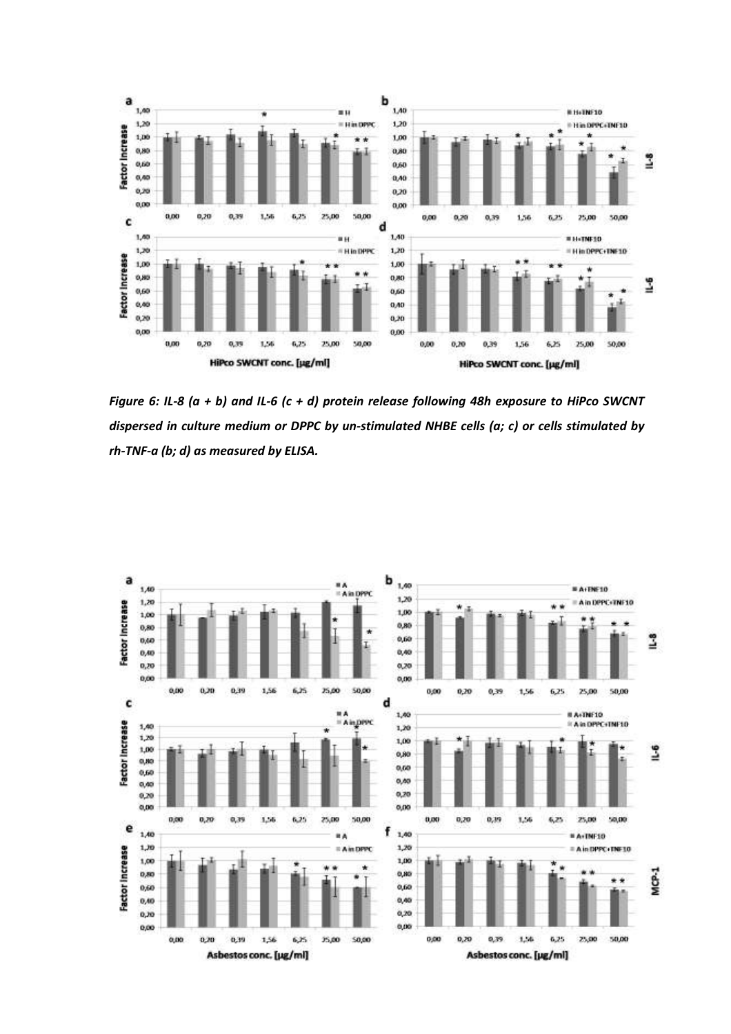

Figure 6: IL-8 (a + b) and IL-6 (c + d) protein release following 48h exposure to HiPco SWCNT dispersed in culture medium or DPPC by un-stimulated NHBE cells (a; c) or cells stimulated by rh-TNF-a (b; d) as measured by ELISA.